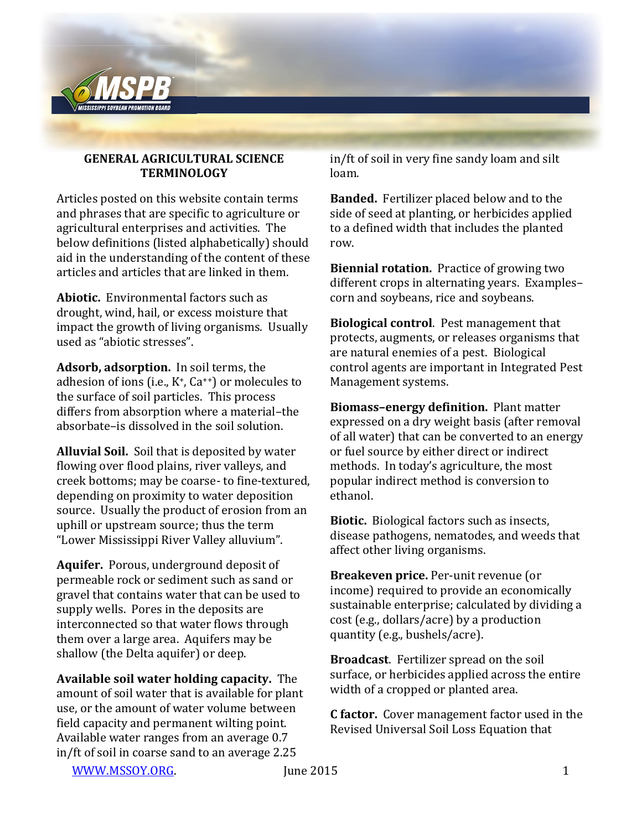

## **GENERAL AGRICULTURAL SCIENCE TERMINOLOGY**

Articles posted on this website contain terms and phrases that are specific to agriculture or agricultural enterprises and activities. The below definitions (listed alphabetically) should aid in the understanding of the content of these articles and articles that are linked in them.

**Abiotic.** Environmental factors such as drought, wind, hail, or excess moisture that impact the growth of living organisms. Usually used as "abiotic stresses".

**Adsorb, adsorption.** In soil terms, the adhesion of ions (i.e.,  $K^+$ ,  $Ca^{++}$ ) or molecules to the surface of soil particles. This process differs from absorption where a material–the absorbate–is dissolved in the soil solution.

**Alluvial Soil.** Soil that is deposited by water flowing over flood plains, river valleys, and creek bottoms; may be coarse- to fine-textured, depending on proximity to water deposition source. Usually the product of erosion from an uphill or upstream source; thus the term "Lower Mississippi River Valley alluvium".

**Aquifer.** Porous, underground deposit of permeable rock or sediment such as sand or gravel that contains water that can be used to supply wells. Pores in the deposits are interconnected so that water flows through them over a large area. Aquifers may be shallow (the Delta aquifer) or deep.

**Available soil water holding capacity.** The amount of soil water that is available for plant use, or the amount of water volume between field capacity and permanent wilting point. Available water ranges from an average 0.7 in/ft of soil in coarse sand to an average 2.25

in/ft of soil in very fine sandy loam and silt loam.

**Banded.** Fertilizer placed below and to the side of seed at planting, or herbicides applied to a defined width that includes the planted row.

**Biennial rotation.** Practice of growing two different crops in alternating years. Examples– corn and soybeans, rice and soybeans.

**Biological control**. Pest management that protects, augments, or releases organisms that are natural enemies of a pest. Biological control agents are important in Integrated Pest Management systems.

**Biomass–energy definition.** Plant matter expressed on a dry weight basis (after removal of all water) that can be converted to an energy or fuel source by either direct or indirect methods. In today's agriculture, the most popular indirect method is conversion to ethanol.

**Biotic.** Biological factors such as insects, disease pathogens, nematodes, and weeds that affect other living organisms.

**Breakeven price.** Per-unit revenue (or income) required to provide an economically sustainable enterprise; calculated by dividing a cost (e.g., dollars/acre) by a production quantity (e.g., bushels/acre).

**Broadcast**. Fertilizer spread on the soil surface, or herbicides applied across the entire width of a cropped or planted area.

**C factor.** Cover management factor used in the Revised Universal Soil Loss Equation that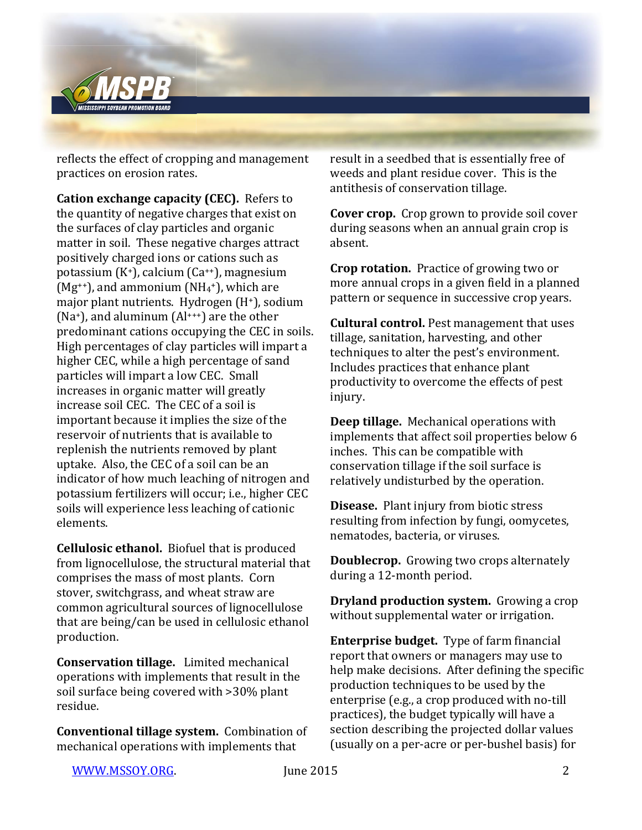

reflects the effect of cropping and management practices on erosion rates.

**Cation exchange capacity (CEC).** Refers to the quantity of negative charges that exist on the surfaces of clay particles and organic matter in soil. These negative charges attract positively charged ions or cations such as potassium (K+), calcium (Ca++), magnesium  $(Mg^{++})$ , and ammonium  $(NH_4^+)$ , which are major plant nutrients. Hydrogen (H+), sodium  $(Na<sup>+</sup>)$ , and aluminum  $(A<sup>+++</sup>)$  are the other predominant cations occupying the CEC in soils. High percentages of clay particles will impart a higher CEC, while a high percentage of sand particles will impart a low CEC. Small increases in organic matter will greatly increase soil CEC. The CEC of a soil is important because it implies the size of the reservoir of nutrients that is available to replenish the nutrients removed by plant uptake. Also, the CEC of a soil can be an indicator of how much leaching of nitrogen and potassium fertilizers will occur; i.e., higher CEC soils will experience less leaching of cationic elements.

**Cellulosic ethanol.** Biofuel that is produced from lignocellulose, the structural material that comprises the mass of most plants. Corn stover, switchgrass, and wheat straw are common agricultural sources of lignocellulose that are being/can be used in cellulosic ethanol production.

**Conservation tillage.** Limited mechanical operations with implements that result in the soil surface being covered with >30% plant residue.

**Conventional tillage system.** Combination of mechanical operations with implements that

result in a seedbed that is essentially free of weeds and plant residue cover. This is the antithesis of conservation tillage.

**Cover crop.** Crop grown to provide soil cover during seasons when an annual grain crop is absent.

**Crop rotation.** Practice of growing two or more annual crops in a given field in a planned pattern or sequence in successive crop years.

**Cultural control.** Pest management that uses tillage, sanitation, harvesting, and other techniques to alter the pest's environment. Includes practices that enhance plant productivity to overcome the effects of pest injury.

**Deep tillage.** Mechanical operations with implements that affect soil properties below 6 inches. This can be compatible with conservation tillage if the soil surface is relatively undisturbed by the operation.

**Disease.** Plant injury from biotic stress resulting from infection by fungi, oomycetes, nematodes, bacteria, or viruses.

**Doublecrop.** Growing two crops alternately during a 12-month period.

**Dryland production system.** Growing a crop without supplemental water or irrigation.

**Enterprise budget.** Type of farm financial report that owners or managers may use to help make decisions. After defining the specific production techniques to be used by the enterprise (e.g., a crop produced with no-till practices), the budget typically will have a section describing the projected dollar values (usually on a per-acre or per-bushel basis) for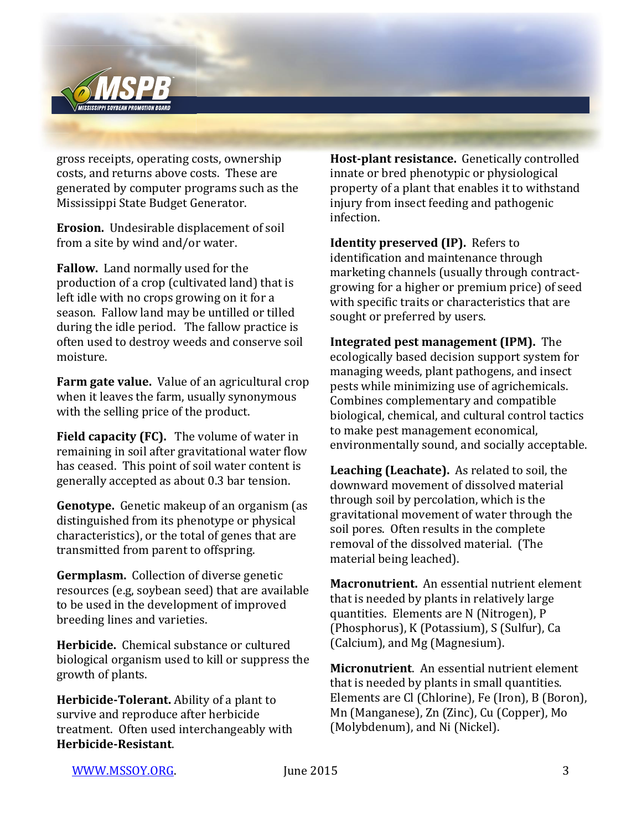

gross receipts, operating costs, ownership costs, and returns above costs. These are generated by computer programs such as the Mississippi State Budget Generator.

**Erosion.** Undesirable displacement of soil from a site by wind and/or water.

**Fallow.** Land normally used for the production of a crop (cultivated land) that is left idle with no crops growing on it for a season. Fallow land may be untilled or tilled during the idle period. The fallow practice is often used to destroy weeds and conserve soil moisture.

**Farm gate value.** Value of an agricultural crop when it leaves the farm, usually synonymous with the selling price of the product.

**Field capacity (FC).** The volume of water in remaining in soil after gravitational water flow has ceased. This point of soil water content is generally accepted as about 0.3 bar tension.

**Genotype.** Genetic makeup of an organism (as distinguished from its phenotype or physical characteristics), or the total of genes that are transmitted from parent to offspring.

**Germplasm.** Collection of diverse genetic resources (e.g, soybean seed) that are available to be used in the development of improved breeding lines and varieties.

**Herbicide.** Chemical substance or cultured biological organism used to kill or suppress the growth of plants.

**Herbicide-Tolerant.** Ability of a plant to survive and reproduce after herbicide treatment. Often used interchangeably with **Herbicide-Resistant**.

**Host-plant resistance.** Genetically controlled innate or bred phenotypic or physiological property of a plant that enables it to withstand injury from insect feeding and pathogenic infection.

**Identity preserved (IP).** Refers to identification and maintenance through marketing channels (usually through contractgrowing for a higher or premium price) of seed with specific traits or characteristics that are sought or preferred by users.

**Integrated pest management (IPM).** The ecologically based decision support system for managing weeds, plant pathogens, and insect pests while minimizing use of agrichemicals. Combines complementary and compatible biological, chemical, and cultural control tactics to make pest management economical, environmentally sound, and socially acceptable.

**Leaching (Leachate).** As related to soil, the downward movement of dissolved material through soil by percolation, which is the gravitational movement of water through the soil pores. Often results in the complete removal of the dissolved material. (The material being leached).

**Macronutrient.** An essential nutrient element that is needed by plants in relatively large quantities. Elements are N (Nitrogen), P (Phosphorus), K (Potassium), S (Sulfur), Ca (Calcium), and Mg (Magnesium).

**Micronutrient**. An essential nutrient element that is needed by plants in small quantities. Elements are Cl (Chlorine), Fe (Iron), B (Boron), Mn (Manganese), Zn (Zinc), Cu (Copper), Mo (Molybdenum), and Ni (Nickel).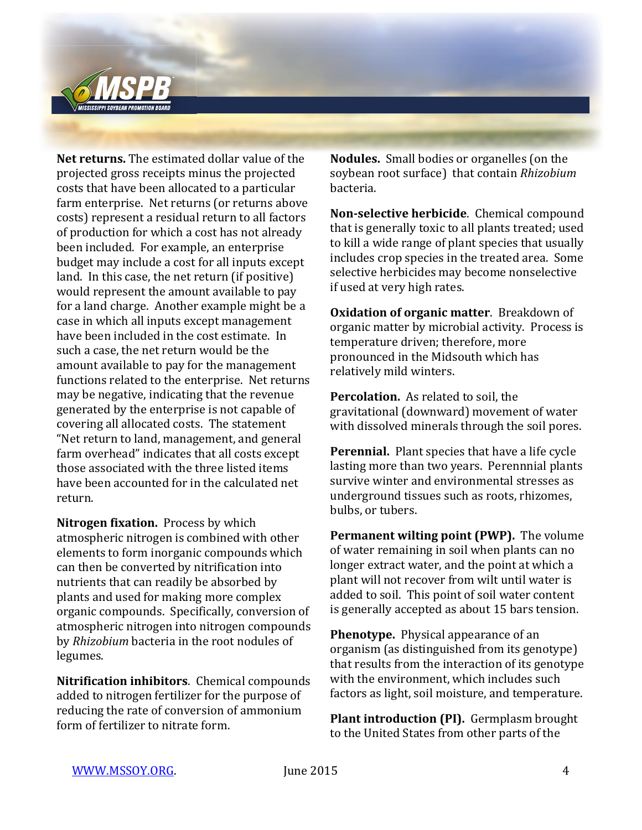

**Net returns.** The estimated dollar value of the projected gross receipts minus the projected costs that have been allocated to a particular farm enterprise. Net returns (or returns above costs) represent a residual return to all factors of production for which a cost has not already been included. For example, an enterprise budget may include a cost for all inputs except land. In this case, the net return (if positive) would represent the amount available to pay for a land charge. Another example might be a case in which all inputs except management have been included in the cost estimate. In such a case, the net return would be the amount available to pay for the management functions related to the enterprise. Net returns may be negative, indicating that the revenue generated by the enterprise is not capable of covering all allocated costs. The statement "Net return to land, management, and general farm overhead" indicates that all costs except those associated with the three listed items have been accounted for in the calculated net return.

**Nitrogen fixation.** Process by which atmospheric nitrogen is combined with other elements to form inorganic compounds which can then be converted by nitrification into nutrients that can readily be absorbed by plants and used for making more complex organic compounds. Specifically, conversion of atmospheric nitrogen into nitrogen compounds by *Rhizobium* bacteria in the root nodules of legumes.

**Nitrification inhibitors**. Chemical compounds added to nitrogen fertilizer for the purpose of reducing the rate of conversion of ammonium form of fertilizer to nitrate form.

**Nodules.** Small bodies or organelles (on the soybean root surface) that contain *Rhizobium* bacteria.

**Non-selective herbicide**. Chemical compound that is generally toxic to all plants treated; used to kill a wide range of plant species that usually includes crop species in the treated area. Some selective herbicides may become nonselective if used at very high rates.

**Oxidation of organic matter**. Breakdown of organic matter by microbial activity. Process is temperature driven; therefore, more pronounced in the Midsouth which has relatively mild winters.

**Percolation.** As related to soil, the gravitational (downward) movement of water with dissolved minerals through the soil pores.

**Perennial.** Plant species that have a life cycle lasting more than two years. Perennnial plants survive winter and environmental stresses as underground tissues such as roots, rhizomes, bulbs, or tubers.

**Permanent wilting point (PWP).** The volume of water remaining in soil when plants can no longer extract water, and the point at which a plant will not recover from wilt until water is added to soil. This point of soil water content is generally accepted as about 15 bars tension.

**Phenotype.** Physical appearance of an organism (as distinguished from its genotype) that results from the interaction of its genotype with the environment, which includes such factors as light, soil moisture, and temperature.

**Plant introduction (PI).** Germplasm brought to the United States from other parts of the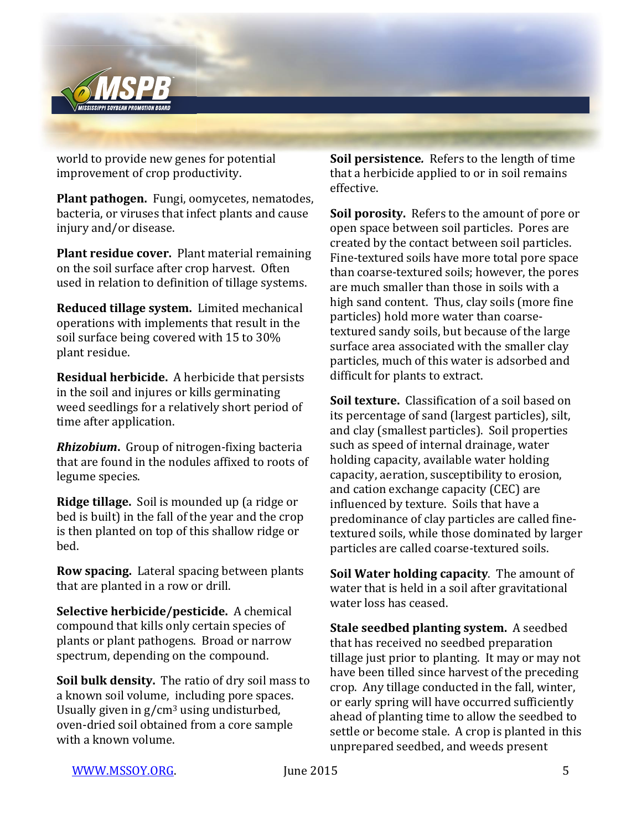

world to provide new genes for potential improvement of crop productivity.

**Plant pathogen.** Fungi, oomycetes, nematodes, bacteria, or viruses that infect plants and cause injury and/or disease.

**Plant residue cover.** Plant material remaining on the soil surface after crop harvest. Often used in relation to definition of tillage systems.

**Reduced tillage system.** Limited mechanical operations with implements that result in the soil surface being covered with 15 to 30% plant residue.

**Residual herbicide.** A herbicide that persists in the soil and injures or kills germinating weed seedlings for a relatively short period of time after application.

*Rhizobium***.** Group of nitrogen-fixing bacteria that are found in the nodules affixed to roots of legume species.

**Ridge tillage.** Soil is mounded up (a ridge or bed is built) in the fall of the year and the crop is then planted on top of this shallow ridge or bed.

**Row spacing.** Lateral spacing between plants that are planted in a row or drill.

**Selective herbicide/pesticide.** A chemical compound that kills only certain species of plants or plant pathogens. Broad or narrow spectrum, depending on the compound.

**Soil bulk density.** The ratio of dry soil mass to a known soil volume, including pore spaces. Usually given in  $g/cm^3$  using undisturbed, oven-dried soil obtained from a core sample with a known volume.

**Soil persistence***.* Refers to the length of time that a herbicide applied to or in soil remains effective.

**Soil porosity.** Refers to the amount of pore or open space between soil particles. Pores are created by the contact between soil particles. Fine-textured soils have more total pore space than coarse-textured soils; however, the pores are much smaller than those in soils with a high sand content. Thus, clay soils (more fine particles) hold more water than coarsetextured sandy soils, but because of the large surface area associated with the smaller clay particles, much of this water is adsorbed and difficult for plants to extract.

**Soil texture.** Classification of a soil based on its percentage of sand (largest particles), silt, and clay (smallest particles). Soil properties such as speed of internal drainage, water holding capacity, available water holding capacity, aeration, susceptibility to erosion, and cation exchange capacity (CEC) are influenced by texture. Soils that have a predominance of clay particles are called finetextured soils, while those dominated by larger particles are called coarse-textured soils.

**Soil Water holding capacity**. The amount of water that is held in a soil after gravitational water loss has ceased.

**Stale seedbed planting system.** A seedbed that has received no seedbed preparation tillage just prior to planting. It may or may not have been tilled since harvest of the preceding crop. Any tillage conducted in the fall, winter, or early spring will have occurred sufficiently ahead of planting time to allow the seedbed to settle or become stale. A crop is planted in this unprepared seedbed, and weeds present